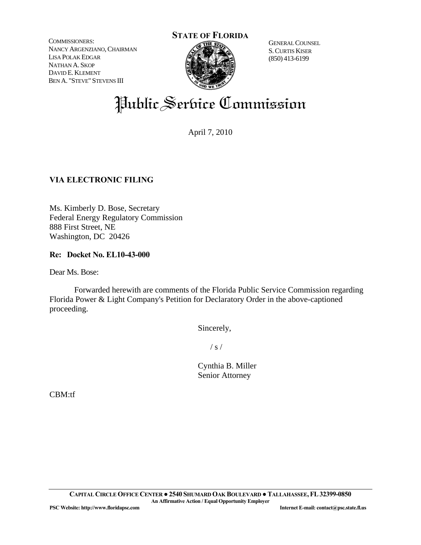COMMISSIONERS: NANCY ARGENZIANO, CHAIRMAN LISA POLAK EDGAR NATHAN A. SKOP DAVID E. KLEMENT BEN A. "STEVE" STEVENS III



 S.CURTIS KISER (850) 413-6199

# Public Service Commission

April 7, 2010

## **VIA ELECTRONIC FILING**

Ms. Kimberly D. Bose, Secretary Federal Energy Regulatory Commission 888 First Street, NE Washington, DC 20426

### **Re: Docket No. EL10-43-000**

Dear Ms. Bose:

 Forwarded herewith are comments of the Florida Public Service Commission regarding Florida Power & Light Company's Petition for Declaratory Order in the above-captioned proceeding.

Sincerely,

 $\frac{1}{s}$  /

 Cynthia B. Miller Senior Attorney

CBM:tf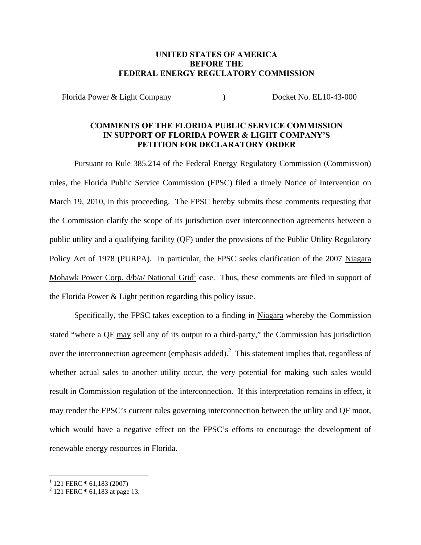#### **UNITED STATES OF AMERICA BEFORE THE FEDERAL ENERGY REGULATORY COMMISSION**

Florida Power & Light Company (and Company 1996) Docket No. EL10-43-000

#### **COMMENTS OF THE FLORIDA PUBLIC SERVICE COMMISSION IN SUPPORT OF FLORIDA POWER & LIGHT COMPANY'S PETITION FOR DECLARATORY ORDER**

Pursuant to Rule 385.214 of the Federal Energy Regulatory Commission (Commission) rules, the Florida Public Service Commission (FPSC) filed a timely Notice of Intervention on March 19, 2010, in this proceeding. The FPSC hereby submits these comments requesting that the Commission clarify the scope of its jurisdiction over interconnection agreements between a public utility and a qualifying facility (QF) under the provisions of the Public Utility Regulatory Policy Act of 1978 (PURPA). In particular, the FPSC seeks clarification of the 2007 Niagara Mohawk Power Corp.  $d/b/a/$  National Grid<sup>1</sup> case. Thus, these comments are filed in support of the Florida Power & Light petition regarding this policy issue.

Specifically, the FPSC takes exception to a finding in Niagara whereby the Commission stated "where a QF may sell any of its output to a third-party," the Commission has jurisdiction over the interconnection agreement (emphasis added).<sup>2</sup> This statement implies that, regardless of whether actual sales to another utility occur, the very potential for making such sales would result in Commission regulation of the interconnection. If this interpretation remains in effect, it may render the FPSC's current rules governing interconnection between the utility and QF moot, which would have a negative effect on the FPSC's efforts to encourage the development of renewable energy resources in Florida.

<sup>&</sup>lt;sup>1</sup> 121 FERC ¶ 61,183 (2007)<br><sup>2</sup> 121 FERC ¶ 61,183 at page 13.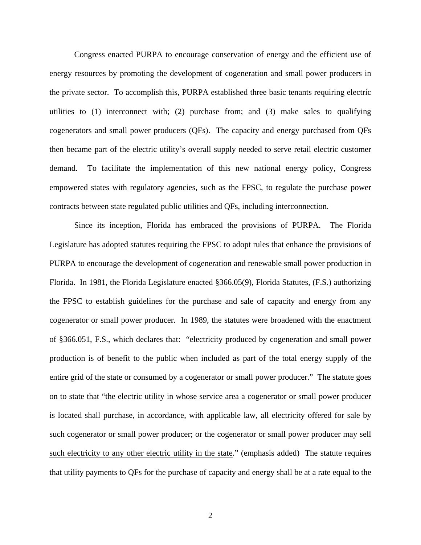Congress enacted PURPA to encourage conservation of energy and the efficient use of energy resources by promoting the development of cogeneration and small power producers in the private sector. To accomplish this, PURPA established three basic tenants requiring electric utilities to (1) interconnect with; (2) purchase from; and (3) make sales to qualifying cogenerators and small power producers (QFs). The capacity and energy purchased from QFs then became part of the electric utility's overall supply needed to serve retail electric customer demand. To facilitate the implementation of this new national energy policy, Congress empowered states with regulatory agencies, such as the FPSC, to regulate the purchase power contracts between state regulated public utilities and QFs, including interconnection.

Since its inception, Florida has embraced the provisions of PURPA. The Florida Legislature has adopted statutes requiring the FPSC to adopt rules that enhance the provisions of PURPA to encourage the development of cogeneration and renewable small power production in Florida. In 1981, the Florida Legislature enacted §366.05(9), Florida Statutes, (F.S.) authorizing the FPSC to establish guidelines for the purchase and sale of capacity and energy from any cogenerator or small power producer. In 1989, the statutes were broadened with the enactment of §366.051, F.S., which declares that: "electricity produced by cogeneration and small power production is of benefit to the public when included as part of the total energy supply of the entire grid of the state or consumed by a cogenerator or small power producer." The statute goes on to state that "the electric utility in whose service area a cogenerator or small power producer is located shall purchase, in accordance, with applicable law, all electricity offered for sale by such cogenerator or small power producer; or the cogenerator or small power producer may sell such electricity to any other electric utility in the state." (emphasis added) The statute requires that utility payments to QFs for the purchase of capacity and energy shall be at a rate equal to the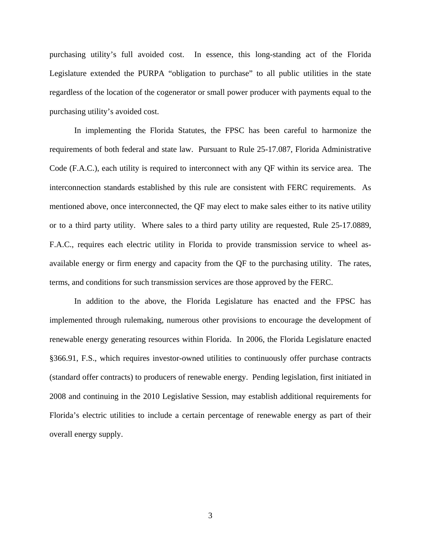purchasing utility's full avoided cost. In essence, this long-standing act of the Florida Legislature extended the PURPA "obligation to purchase" to all public utilities in the state regardless of the location of the cogenerator or small power producer with payments equal to the purchasing utility's avoided cost.

In implementing the Florida Statutes, the FPSC has been careful to harmonize the requirements of both federal and state law. Pursuant to Rule 25-17.087, Florida Administrative Code (F.A.C.), each utility is required to interconnect with any QF within its service area. The interconnection standards established by this rule are consistent with FERC requirements. As mentioned above, once interconnected, the QF may elect to make sales either to its native utility or to a third party utility. Where sales to a third party utility are requested, Rule 25-17.0889, F.A.C., requires each electric utility in Florida to provide transmission service to wheel asavailable energy or firm energy and capacity from the QF to the purchasing utility. The rates, terms, and conditions for such transmission services are those approved by the FERC.

In addition to the above, the Florida Legislature has enacted and the FPSC has implemented through rulemaking, numerous other provisions to encourage the development of renewable energy generating resources within Florida. In 2006, the Florida Legislature enacted §366.91, F.S., which requires investor-owned utilities to continuously offer purchase contracts (standard offer contracts) to producers of renewable energy. Pending legislation, first initiated in 2008 and continuing in the 2010 Legislative Session, may establish additional requirements for Florida's electric utilities to include a certain percentage of renewable energy as part of their overall energy supply.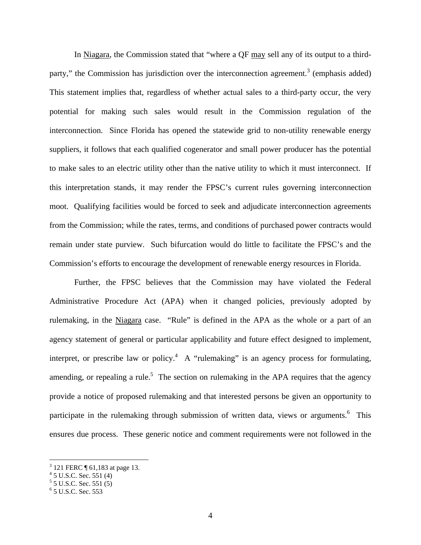In Niagara, the Commission stated that "where a QF may sell any of its output to a thirdparty," the Commission has jurisdiction over the interconnection agreement.<sup>3</sup> (emphasis added) This statement implies that, regardless of whether actual sales to a third-party occur, the very potential for making such sales would result in the Commission regulation of the interconnection. Since Florida has opened the statewide grid to non-utility renewable energy suppliers, it follows that each qualified cogenerator and small power producer has the potential to make sales to an electric utility other than the native utility to which it must interconnect. If this interpretation stands, it may render the FPSC's current rules governing interconnection moot. Qualifying facilities would be forced to seek and adjudicate interconnection agreements from the Commission; while the rates, terms, and conditions of purchased power contracts would remain under state purview. Such bifurcation would do little to facilitate the FPSC's and the Commission's efforts to encourage the development of renewable energy resources in Florida.

Further, the FPSC believes that the Commission may have violated the Federal Administrative Procedure Act (APA) when it changed policies, previously adopted by rulemaking, in the Niagara case. "Rule" is defined in the APA as the whole or a part of an agency statement of general or particular applicability and future effect designed to implement, interpret, or prescribe law or policy.<sup>4</sup> A "rulemaking" is an agency process for formulating, amending, or repealing a rule.<sup>5</sup> The section on rulemaking in the APA requires that the agency provide a notice of proposed rulemaking and that interested persons be given an opportunity to participate in the rulemaking through submission of written data, views or arguments. <sup>6</sup> This ensures due process. These generic notice and comment requirements were not followed in the

 3 121 FERC ¶ 61,183 at page 13. 4 5 U.S.C. Sec. 551 (4)

 $5$  J U.S.C. Sec. 551 (5)

<sup>6</sup> 5 U.S.C. Sec. 553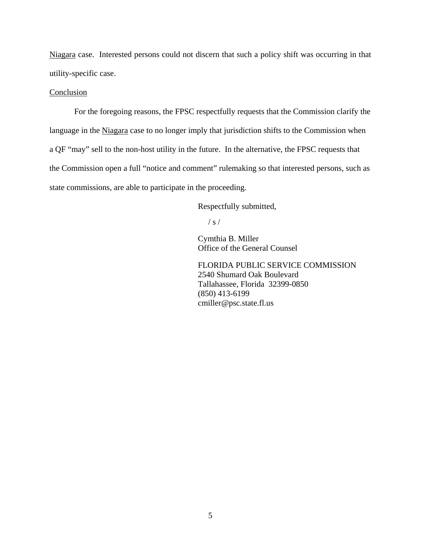Niagara case. Interested persons could not discern that such a policy shift was occurring in that utility-specific case.

#### Conclusion

For the foregoing reasons, the FPSC respectfully requests that the Commission clarify the language in the Niagara case to no longer imply that jurisdiction shifts to the Commission when a QF "may" sell to the non-host utility in the future. In the alternative, the FPSC requests that the Commission open a full "notice and comment" rulemaking so that interested persons, such as state commissions, are able to participate in the proceeding.

Respectfully submitted,

 $\frac{1}{s}$  /

 Cymthia B. Miller Office of the General Counsel

 FLORIDA PUBLIC SERVICE COMMISSION 2540 Shumard Oak Boulevard Tallahassee, Florida 32399-0850 (850) 413-6199 cmiller@psc.state.fl.us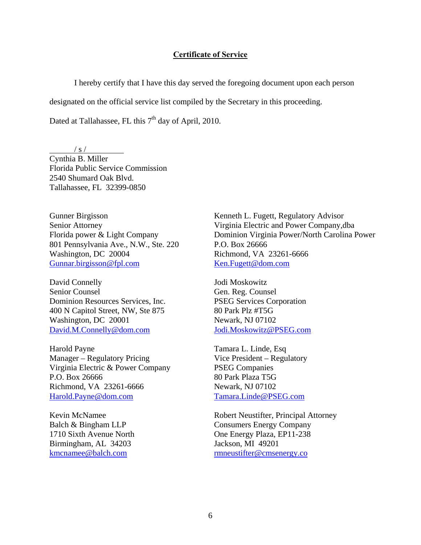#### **Certificate of Service**

I hereby certify that I have this day served the foregoing document upon each person

designated on the official service list compiled by the Secretary in this proceeding.

Dated at Tallahassee, FL this  $7<sup>th</sup>$  day of April, 2010.

/ s /

Cynthia B. Miller Florida Public Service Commission 2540 Shumard Oak Blvd. Tallahassee, FL 32399-0850

Gunner Birgisson Senior Attorney Florida power & Light Company 801 Pennsylvania Ave., N.W., Ste. 220 Washington, DC 20004 Gunnar.birgisson@fpl.com

David Connelly Senior Counsel Dominion Resources Services, Inc. 400 N Capitol Street, NW, Ste 875 Washington, DC 20001 David.M.Connelly@dom.com

Harold Payne Manager – Regulatory Pricing Virginia Electric & Power Company P.O. Box 26666 Richmond, VA 23261-6666 Harold.Payne@dom.com

Kevin McNamee Balch & Bingham LLP 1710 Sixth Avenue North Birmingham, AL 34203 kmcnamee@balch.com

Kenneth L. Fugett, Regulatory Advisor Virginia Electric and Power Company,dba Dominion Virginia Power/North Carolina Power P.O. Box 26666 Richmond, VA 23261-6666 Ken.Fugett@dom.com

Jodi Moskowitz Gen. Reg. Counsel PSEG Services Corporation 80 Park Plz #T5G Newark, NJ 07102 Jodi.Moskowitz@PSEG.com

Tamara L. Linde, Esq Vice President – Regulatory PSEG Companies 80 Park Plaza T5G Newark, NJ 07102 Tamara.Linde@PSEG.com

Robert Neustifter, Principal Attorney Consumers Energy Company One Energy Plaza, EP11-238 Jackson, MI 49201 rmneustifter@cmsenergy.co